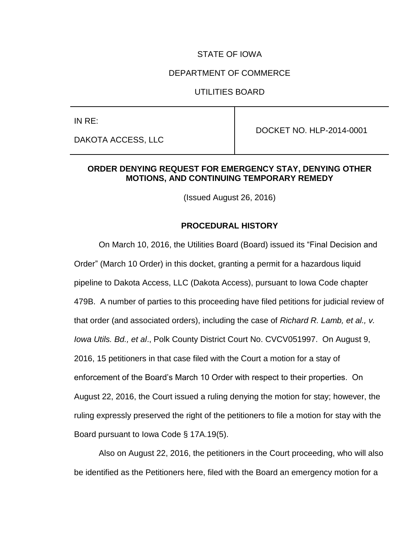# STATE OF IOWA

# DEPARTMENT OF COMMERCE

# UTILITIES BOARD

IN RE:

DAKOTA ACCESS, LLC

DOCKET NO. HLP-2014-0001

# **ORDER DENYING REQUEST FOR EMERGENCY STAY, DENYING OTHER MOTIONS, AND CONTINUING TEMPORARY REMEDY**

(Issued August 26, 2016)

### **PROCEDURAL HISTORY**

On March 10, 2016, the Utilities Board (Board) issued its "Final Decision and Order" (March 10 Order) in this docket, granting a permit for a hazardous liquid pipeline to Dakota Access, LLC (Dakota Access), pursuant to Iowa Code chapter 479B. A number of parties to this proceeding have filed petitions for judicial review of that order (and associated orders), including the case of *Richard R. Lamb, et al., v. Iowa Utils. Bd., et al*., Polk County District Court No. CVCV051997. On August 9, 2016, 15 petitioners in that case filed with the Court a motion for a stay of enforcement of the Board's March 10 Order with respect to their properties. On August 22, 2016, the Court issued a ruling denying the motion for stay; however, the ruling expressly preserved the right of the petitioners to file a motion for stay with the Board pursuant to Iowa Code § 17A.19(5).

Also on August 22, 2016, the petitioners in the Court proceeding, who will also be identified as the Petitioners here, filed with the Board an emergency motion for a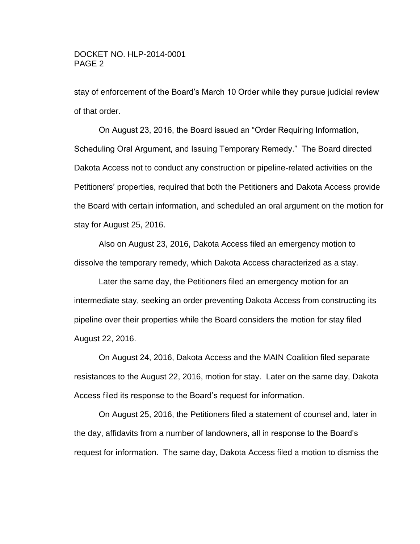stay of enforcement of the Board's March 10 Order while they pursue judicial review of that order.

On August 23, 2016, the Board issued an "Order Requiring Information, Scheduling Oral Argument, and Issuing Temporary Remedy." The Board directed Dakota Access not to conduct any construction or pipeline-related activities on the Petitioners' properties, required that both the Petitioners and Dakota Access provide the Board with certain information, and scheduled an oral argument on the motion for stay for August 25, 2016.

Also on August 23, 2016, Dakota Access filed an emergency motion to dissolve the temporary remedy, which Dakota Access characterized as a stay.

Later the same day, the Petitioners filed an emergency motion for an intermediate stay, seeking an order preventing Dakota Access from constructing its pipeline over their properties while the Board considers the motion for stay filed August 22, 2016.

On August 24, 2016, Dakota Access and the MAIN Coalition filed separate resistances to the August 22, 2016, motion for stay. Later on the same day, Dakota Access filed its response to the Board's request for information.

On August 25, 2016, the Petitioners filed a statement of counsel and, later in the day, affidavits from a number of landowners, all in response to the Board's request for information. The same day, Dakota Access filed a motion to dismiss the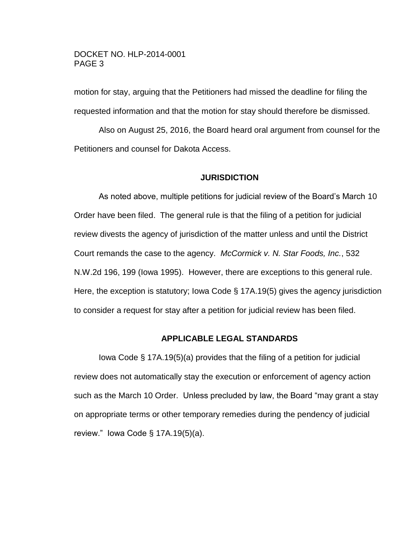motion for stay, arguing that the Petitioners had missed the deadline for filing the requested information and that the motion for stay should therefore be dismissed.

Also on August 25, 2016, the Board heard oral argument from counsel for the Petitioners and counsel for Dakota Access.

### **JURISDICTION**

As noted above, multiple petitions for judicial review of the Board's March 10 Order have been filed. The general rule is that the filing of a petition for judicial review divests the agency of jurisdiction of the matter unless and until the District Court remands the case to the agency. *McCormick v. N. Star Foods, Inc.*, 532 N.W.2d 196, 199 (Iowa 1995). However, there are exceptions to this general rule. Here, the exception is statutory; Iowa Code § 17A.19(5) gives the agency jurisdiction to consider a request for stay after a petition for judicial review has been filed.

### **APPLICABLE LEGAL STANDARDS**

Iowa Code § 17A.19(5)(a) provides that the filing of a petition for judicial review does not automatically stay the execution or enforcement of agency action such as the March 10 Order. Unless precluded by law, the Board "may grant a stay on appropriate terms or other temporary remedies during the pendency of judicial review." Iowa Code § 17A.19(5)(a).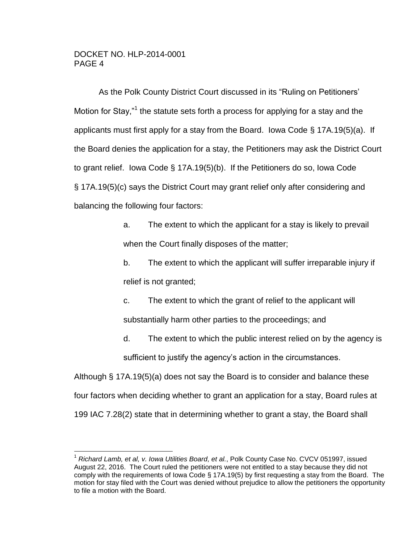$\overline{a}$ 

As the Polk County District Court discussed in its "Ruling on Petitioners' Motion for Stay,"<sup>1</sup> the statute sets forth a process for applying for a stay and the applicants must first apply for a stay from the Board. Iowa Code § 17A.19(5)(a). If the Board denies the application for a stay, the Petitioners may ask the District Court to grant relief. Iowa Code § 17A.19(5)(b). If the Petitioners do so, Iowa Code § 17A.19(5)(c) says the District Court may grant relief only after considering and balancing the following four factors:

> a. The extent to which the applicant for a stay is likely to prevail when the Court finally disposes of the matter;

b. The extent to which the applicant will suffer irreparable injury if relief is not granted;

c. The extent to which the grant of relief to the applicant will substantially harm other parties to the proceedings; and

d. The extent to which the public interest relied on by the agency is sufficient to justify the agency's action in the circumstances.

Although § 17A.19(5)(a) does not say the Board is to consider and balance these four factors when deciding whether to grant an application for a stay, Board rules at 199 IAC 7.28(2) state that in determining whether to grant a stay, the Board shall

<sup>1</sup> *Richard Lamb, et al, v. Iowa Utilities Board, et al.*, Polk County Case No. CVCV 051997, issued August 22, 2016. The Court ruled the petitioners were not entitled to a stay because they did not comply with the requirements of Iowa Code § 17A.19(5) by first requesting a stay from the Board. The motion for stay filed with the Court was denied without prejudice to allow the petitioners the opportunity to file a motion with the Board.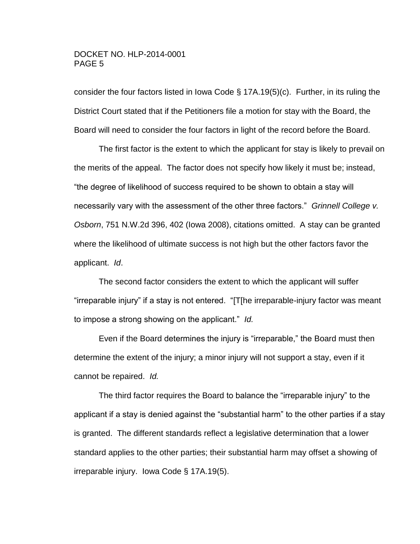consider the four factors listed in Iowa Code § 17A.19(5)(c). Further, in its ruling the District Court stated that if the Petitioners file a motion for stay with the Board, the Board will need to consider the four factors in light of the record before the Board.

The first factor is the extent to which the applicant for stay is likely to prevail on the merits of the appeal. The factor does not specify how likely it must be; instead, "the degree of likelihood of success required to be shown to obtain a stay will necessarily vary with the assessment of the other three factors." *Grinnell College v. Osborn*, 751 N.W.2d 396, 402 (Iowa 2008), citations omitted. A stay can be granted where the likelihood of ultimate success is not high but the other factors favor the applicant. *Id*.

The second factor considers the extent to which the applicant will suffer "irreparable injury" if a stay is not entered. "[T[he irreparable-injury factor was meant to impose a strong showing on the applicant." *Id.*

Even if the Board determines the injury is "irreparable," the Board must then determine the extent of the injury; a minor injury will not support a stay, even if it cannot be repaired. *Id.*

The third factor requires the Board to balance the "irreparable injury" to the applicant if a stay is denied against the "substantial harm" to the other parties if a stay is granted. The different standards reflect a legislative determination that a lower standard applies to the other parties; their substantial harm may offset a showing of irreparable injury. Iowa Code § 17A.19(5).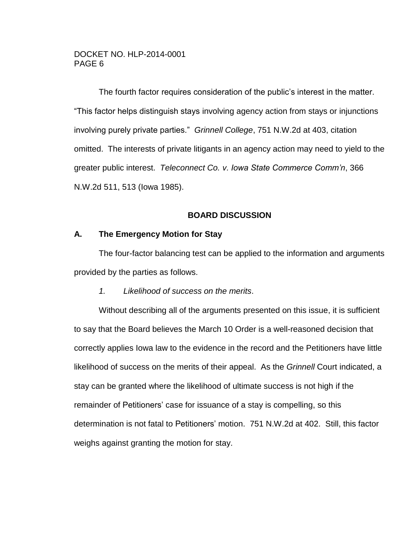The fourth factor requires consideration of the public's interest in the matter. "This factor helps distinguish stays involving agency action from stays or injunctions involving purely private parties." *Grinnell College*, 751 N.W.2d at 403, citation omitted. The interests of private litigants in an agency action may need to yield to the greater public interest. *Teleconnect Co. v. Iowa State Commerce Comm'n*, 366 N.W.2d 511, 513 (Iowa 1985).

# **BOARD DISCUSSION**

### **A. The Emergency Motion for Stay**

The four-factor balancing test can be applied to the information and arguments provided by the parties as follows.

#### *1. Likelihood of success on the merits*.

Without describing all of the arguments presented on this issue, it is sufficient to say that the Board believes the March 10 Order is a well-reasoned decision that correctly applies Iowa law to the evidence in the record and the Petitioners have little likelihood of success on the merits of their appeal. As the *Grinnell* Court indicated, a stay can be granted where the likelihood of ultimate success is not high if the remainder of Petitioners' case for issuance of a stay is compelling, so this determination is not fatal to Petitioners' motion. 751 N.W.2d at 402. Still, this factor weighs against granting the motion for stay.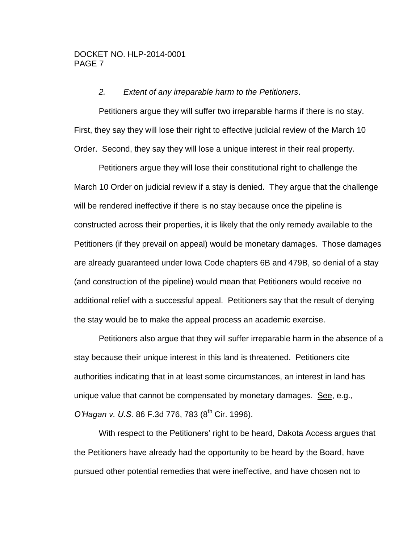### *2. Extent of any irreparable harm to the Petitioners*.

Petitioners argue they will suffer two irreparable harms if there is no stay. First, they say they will lose their right to effective judicial review of the March 10 Order. Second, they say they will lose a unique interest in their real property.

Petitioners argue they will lose their constitutional right to challenge the March 10 Order on judicial review if a stay is denied. They argue that the challenge will be rendered ineffective if there is no stay because once the pipeline is constructed across their properties, it is likely that the only remedy available to the Petitioners (if they prevail on appeal) would be monetary damages. Those damages are already guaranteed under Iowa Code chapters 6B and 479B, so denial of a stay (and construction of the pipeline) would mean that Petitioners would receive no additional relief with a successful appeal. Petitioners say that the result of denying the stay would be to make the appeal process an academic exercise.

Petitioners also argue that they will suffer irreparable harm in the absence of a stay because their unique interest in this land is threatened. Petitioners cite authorities indicating that in at least some circumstances, an interest in land has unique value that cannot be compensated by monetary damages. See, e.g., *O'Hagan v. U.S.* 86 F.3d 776, 783 (8<sup>th</sup> Cir. 1996).

With respect to the Petitioners' right to be heard, Dakota Access argues that the Petitioners have already had the opportunity to be heard by the Board, have pursued other potential remedies that were ineffective, and have chosen not to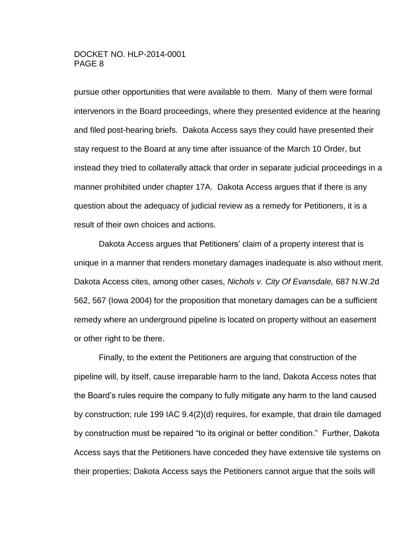pursue other opportunities that were available to them. Many of them were formal intervenors in the Board proceedings, where they presented evidence at the hearing and filed post-hearing briefs. Dakota Access says they could have presented their stay request to the Board at any time after issuance of the March 10 Order, but instead they tried to collaterally attack that order in separate judicial proceedings in a manner prohibited under chapter 17A. Dakota Access argues that if there is any question about the adequacy of judicial review as a remedy for Petitioners, it is a result of their own choices and actions.

Dakota Access argues that Petitioners' claim of a property interest that is unique in a manner that renders monetary damages inadequate is also without merit. Dakota Access cites, among other cases, *Nichols v. City Of Evansdale,* 687 N.W.2d 562, 567 (Iowa 2004) for the proposition that monetary damages can be a sufficient remedy where an underground pipeline is located on property without an easement or other right to be there.

Finally, to the extent the Petitioners are arguing that construction of the pipeline will, by itself, cause irreparable harm to the land, Dakota Access notes that the Board's rules require the company to fully mitigate any harm to the land caused by construction; rule 199 IAC 9.4(2)(d) requires, for example, that drain tile damaged by construction must be repaired "to its original or better condition." Further, Dakota Access says that the Petitioners have conceded they have extensive tile systems on their properties; Dakota Access says the Petitioners cannot argue that the soils will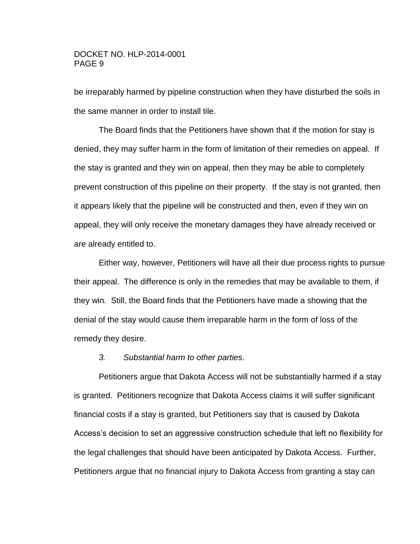be irreparably harmed by pipeline construction when they have disturbed the soils in the same manner in order to install tile.

The Board finds that the Petitioners have shown that if the motion for stay is denied, they may suffer harm in the form of limitation of their remedies on appeal. If the stay is granted and they win on appeal, then they may be able to completely prevent construction of this pipeline on their property. If the stay is not granted, then it appears likely that the pipeline will be constructed and then, even if they win on appeal, they will only receive the monetary damages they have already received or are already entitled to.

Either way, however, Petitioners will have all their due process rights to pursue their appeal. The difference is only in the remedies that may be available to them, if they win. Still, the Board finds that the Petitioners have made a showing that the denial of the stay would cause them irreparable harm in the form of loss of the remedy they desire.

#### *3. Substantial harm to other parties*.

Petitioners argue that Dakota Access will not be substantially harmed if a stay is granted. Petitioners recognize that Dakota Access claims it will suffer significant financial costs if a stay is granted, but Petitioners say that is caused by Dakota Access's decision to set an aggressive construction schedule that left no flexibility for the legal challenges that should have been anticipated by Dakota Access. Further, Petitioners argue that no financial injury to Dakota Access from granting a stay can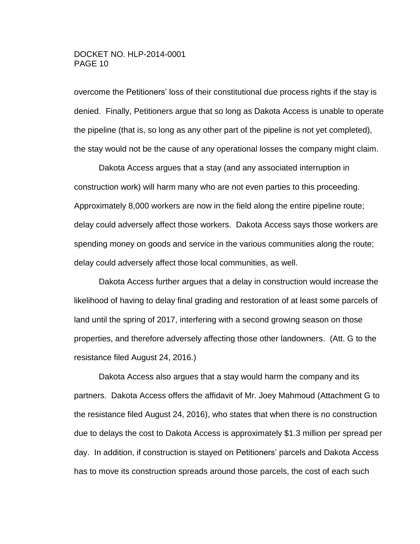overcome the Petitioners' loss of their constitutional due process rights if the stay is denied. Finally, Petitioners argue that so long as Dakota Access is unable to operate the pipeline (that is, so long as any other part of the pipeline is not yet completed), the stay would not be the cause of any operational losses the company might claim.

Dakota Access argues that a stay (and any associated interruption in construction work) will harm many who are not even parties to this proceeding. Approximately 8,000 workers are now in the field along the entire pipeline route; delay could adversely affect those workers. Dakota Access says those workers are spending money on goods and service in the various communities along the route; delay could adversely affect those local communities, as well.

Dakota Access further argues that a delay in construction would increase the likelihood of having to delay final grading and restoration of at least some parcels of land until the spring of 2017, interfering with a second growing season on those properties, and therefore adversely affecting those other landowners. (Att. G to the resistance filed August 24, 2016.)

Dakota Access also argues that a stay would harm the company and its partners. Dakota Access offers the affidavit of Mr. Joey Mahmoud (Attachment G to the resistance filed August 24, 2016), who states that when there is no construction due to delays the cost to Dakota Access is approximately \$1.3 million per spread per day. In addition, if construction is stayed on Petitioners' parcels and Dakota Access has to move its construction spreads around those parcels, the cost of each such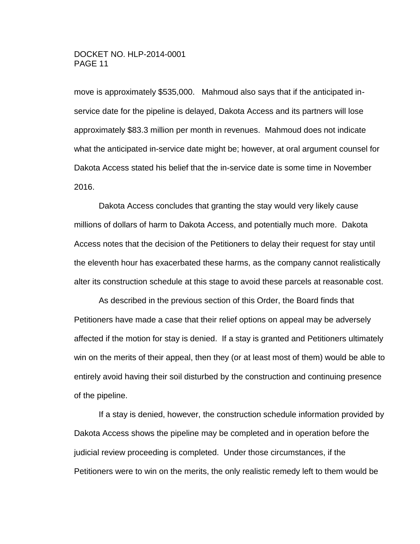move is approximately \$535,000. Mahmoud also says that if the anticipated inservice date for the pipeline is delayed, Dakota Access and its partners will lose approximately \$83.3 million per month in revenues. Mahmoud does not indicate what the anticipated in-service date might be; however, at oral argument counsel for Dakota Access stated his belief that the in-service date is some time in November 2016.

Dakota Access concludes that granting the stay would very likely cause millions of dollars of harm to Dakota Access, and potentially much more. Dakota Access notes that the decision of the Petitioners to delay their request for stay until the eleventh hour has exacerbated these harms, as the company cannot realistically alter its construction schedule at this stage to avoid these parcels at reasonable cost.

As described in the previous section of this Order, the Board finds that Petitioners have made a case that their relief options on appeal may be adversely affected if the motion for stay is denied. If a stay is granted and Petitioners ultimately win on the merits of their appeal, then they (or at least most of them) would be able to entirely avoid having their soil disturbed by the construction and continuing presence of the pipeline.

If a stay is denied, however, the construction schedule information provided by Dakota Access shows the pipeline may be completed and in operation before the judicial review proceeding is completed. Under those circumstances, if the Petitioners were to win on the merits, the only realistic remedy left to them would be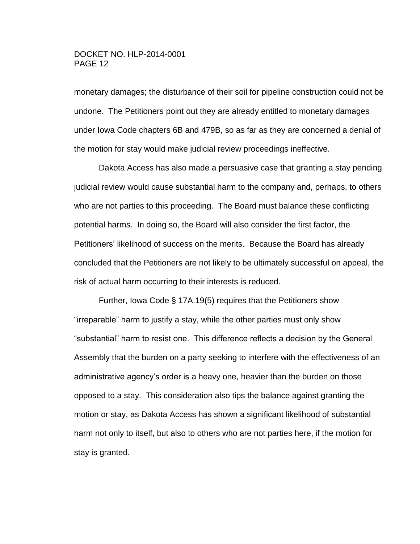monetary damages; the disturbance of their soil for pipeline construction could not be undone. The Petitioners point out they are already entitled to monetary damages under Iowa Code chapters 6B and 479B, so as far as they are concerned a denial of the motion for stay would make judicial review proceedings ineffective.

Dakota Access has also made a persuasive case that granting a stay pending judicial review would cause substantial harm to the company and, perhaps, to others who are not parties to this proceeding. The Board must balance these conflicting potential harms. In doing so, the Board will also consider the first factor, the Petitioners' likelihood of success on the merits. Because the Board has already concluded that the Petitioners are not likely to be ultimately successful on appeal, the risk of actual harm occurring to their interests is reduced.

Further, Iowa Code § 17A.19(5) requires that the Petitioners show "irreparable" harm to justify a stay, while the other parties must only show "substantial" harm to resist one. This difference reflects a decision by the General Assembly that the burden on a party seeking to interfere with the effectiveness of an administrative agency's order is a heavy one, heavier than the burden on those opposed to a stay. This consideration also tips the balance against granting the motion or stay, as Dakota Access has shown a significant likelihood of substantial harm not only to itself, but also to others who are not parties here, if the motion for stay is granted.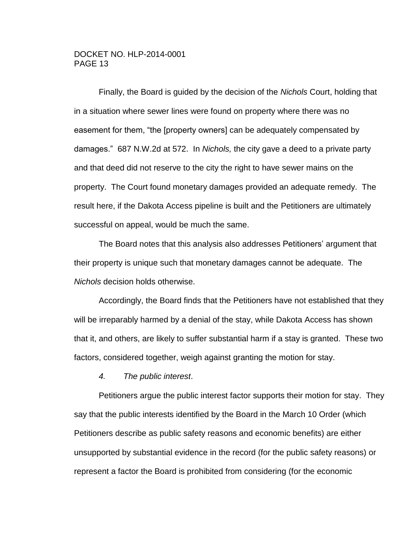Finally, the Board is guided by the decision of the *Nichols* Court, holding that in a situation where sewer lines were found on property where there was no easement for them, "the [property owners] can be adequately compensated by damages." 687 N.W.2d at 572. In *Nichols,* the city gave a deed to a private party and that deed did not reserve to the city the right to have sewer mains on the property. The Court found monetary damages provided an adequate remedy. The result here, if the Dakota Access pipeline is built and the Petitioners are ultimately successful on appeal, would be much the same.

The Board notes that this analysis also addresses Petitioners' argument that their property is unique such that monetary damages cannot be adequate. The *Nichols* decision holds otherwise.

Accordingly, the Board finds that the Petitioners have not established that they will be irreparably harmed by a denial of the stay, while Dakota Access has shown that it, and others, are likely to suffer substantial harm if a stay is granted. These two factors, considered together, weigh against granting the motion for stay.

*4. The public interest*.

Petitioners argue the public interest factor supports their motion for stay. They say that the public interests identified by the Board in the March 10 Order (which Petitioners describe as public safety reasons and economic benefits) are either unsupported by substantial evidence in the record (for the public safety reasons) or represent a factor the Board is prohibited from considering (for the economic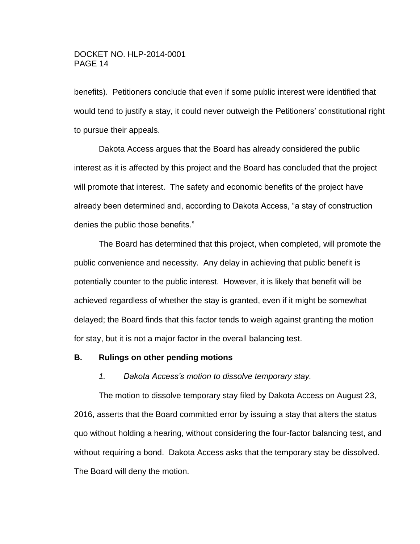benefits). Petitioners conclude that even if some public interest were identified that would tend to justify a stay, it could never outweigh the Petitioners' constitutional right to pursue their appeals.

Dakota Access argues that the Board has already considered the public interest as it is affected by this project and the Board has concluded that the project will promote that interest. The safety and economic benefits of the project have already been determined and, according to Dakota Access, "a stay of construction denies the public those benefits."

The Board has determined that this project, when completed, will promote the public convenience and necessity. Any delay in achieving that public benefit is potentially counter to the public interest. However, it is likely that benefit will be achieved regardless of whether the stay is granted, even if it might be somewhat delayed; the Board finds that this factor tends to weigh against granting the motion for stay, but it is not a major factor in the overall balancing test.

#### **B. Rulings on other pending motions**

*1. Dakota Access's motion to dissolve temporary stay.*

The motion to dissolve temporary stay filed by Dakota Access on August 23, 2016, asserts that the Board committed error by issuing a stay that alters the status quo without holding a hearing, without considering the four-factor balancing test, and without requiring a bond. Dakota Access asks that the temporary stay be dissolved. The Board will deny the motion.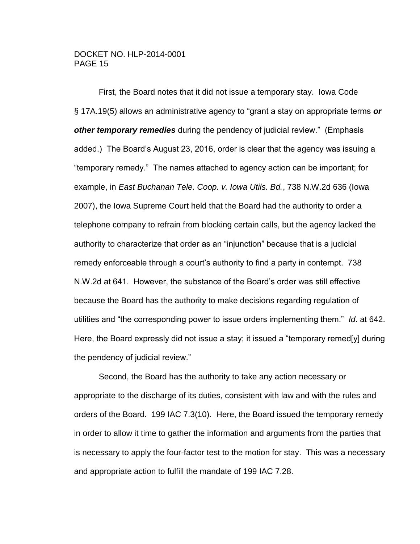First, the Board notes that it did not issue a temporary stay. Iowa Code § 17A.19(5) allows an administrative agency to "grant a stay on appropriate terms *or other temporary remedies* during the pendency of judicial review." (Emphasis added.) The Board's August 23, 2016, order is clear that the agency was issuing a "temporary remedy." The names attached to agency action can be important; for example, in *East Buchanan Tele. Coop. v. Iowa Utils. Bd.*, 738 N.W.2d 636 (Iowa 2007), the Iowa Supreme Court held that the Board had the authority to order a telephone company to refrain from blocking certain calls, but the agency lacked the authority to characterize that order as an "injunction" because that is a judicial remedy enforceable through a court's authority to find a party in contempt. 738 N.W.2d at 641. However, the substance of the Board's order was still effective because the Board has the authority to make decisions regarding regulation of utilities and "the corresponding power to issue orders implementing them." *Id*. at 642. Here, the Board expressly did not issue a stay; it issued a "temporary remed[y] during the pendency of judicial review."

Second, the Board has the authority to take any action necessary or appropriate to the discharge of its duties, consistent with law and with the rules and orders of the Board. 199 IAC 7.3(10). Here, the Board issued the temporary remedy in order to allow it time to gather the information and arguments from the parties that is necessary to apply the four-factor test to the motion for stay. This was a necessary and appropriate action to fulfill the mandate of 199 IAC 7.28.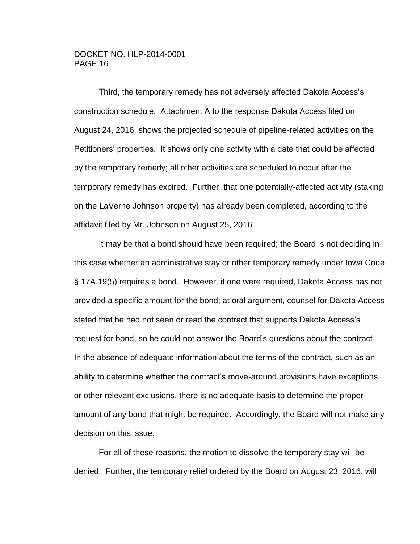Third, the temporary remedy has not adversely affected Dakota Access's construction schedule. Attachment A to the response Dakota Access filed on August 24, 2016, shows the projected schedule of pipeline-related activities on the Petitioners' properties. It shows only one activity with a date that could be affected by the temporary remedy; all other activities are scheduled to occur after the temporary remedy has expired. Further, that one potentially-affected activity (staking on the LaVerne Johnson property) has already been completed, according to the affidavit filed by Mr. Johnson on August 25, 2016.

It may be that a bond should have been required; the Board is not deciding in this case whether an administrative stay or other temporary remedy under Iowa Code § 17A.19(5) requires a bond. However, if one were required, Dakota Access has not provided a specific amount for the bond; at oral argument, counsel for Dakota Access stated that he had not seen or read the contract that supports Dakota Access's request for bond, so he could not answer the Board's questions about the contract. In the absence of adequate information about the terms of the contract, such as an ability to determine whether the contract's move-around provisions have exceptions or other relevant exclusions, there is no adequate basis to determine the proper amount of any bond that might be required. Accordingly, the Board will not make any decision on this issue.

For all of these reasons, the motion to dissolve the temporary stay will be denied. Further, the temporary relief ordered by the Board on August 23, 2016, will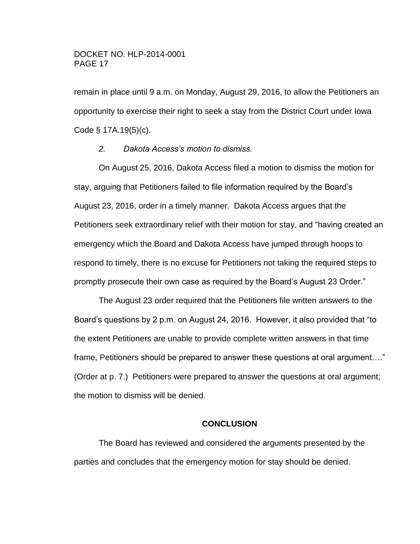remain in place until 9 a.m. on Monday, August 29, 2016, to allow the Petitioners an opportunity to exercise their right to seek a stay from the District Court under Iowa Code § 17A.19(5)(c).

### *2. Dakota Access's motion to dismiss.*

On August 25, 2016, Dakota Access filed a motion to dismiss the motion for stay, arguing that Petitioners failed to file information required by the Board's August 23, 2016, order in a timely manner. Dakota Access argues that the Petitioners seek extraordinary relief with their motion for stay, and "having created an emergency which the Board and Dakota Access have jumped through hoops to respond to timely, there is no excuse for Petitioners not taking the required steps to promptly prosecute their own case as required by the Board's August 23 Order."

The August 23 order required that the Petitioners file written answers to the Board's questions by 2 p.m. on August 24, 2016. However, it also provided that "to the extent Petitioners are unable to provide complete written answers in that time frame, Petitioners should be prepared to answer these questions at oral argument…." (Order at p. 7.) Petitioners were prepared to answer the questions at oral argument; the motion to dismiss will be denied.

## **CONCLUSION**

The Board has reviewed and considered the arguments presented by the parties and concludes that the emergency motion for stay should be denied.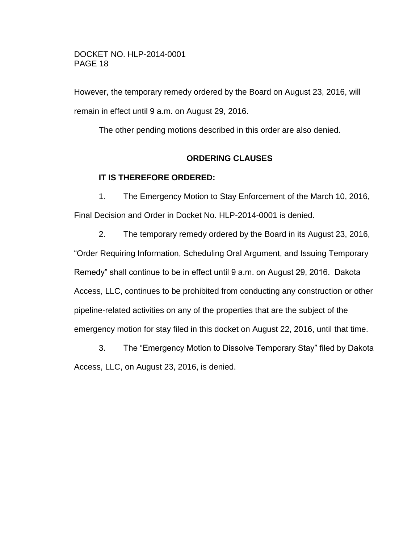However, the temporary remedy ordered by the Board on August 23, 2016, will remain in effect until 9 a.m. on August 29, 2016.

The other pending motions described in this order are also denied.

# **ORDERING CLAUSES**

# **IT IS THEREFORE ORDERED:**

1. The Emergency Motion to Stay Enforcement of the March 10, 2016, Final Decision and Order in Docket No. HLP-2014-0001 is denied.

2. The temporary remedy ordered by the Board in its August 23, 2016, "Order Requiring Information, Scheduling Oral Argument, and Issuing Temporary Remedy" shall continue to be in effect until 9 a.m. on August 29, 2016. Dakota Access, LLC, continues to be prohibited from conducting any construction or other pipeline-related activities on any of the properties that are the subject of the emergency motion for stay filed in this docket on August 22, 2016, until that time.

3. The "Emergency Motion to Dissolve Temporary Stay" filed by Dakota Access, LLC, on August 23, 2016, is denied.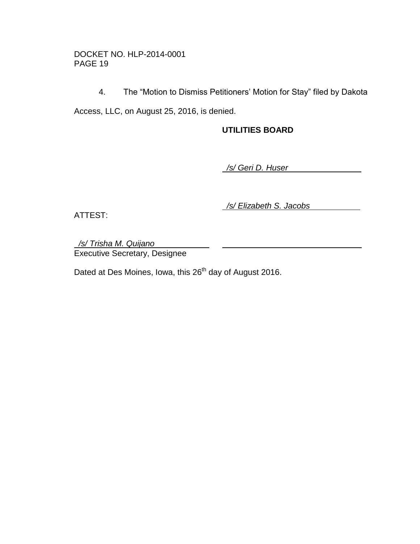4. The "Motion to Dismiss Petitioners' Motion for Stay" filed by Dakota

Access, LLC, on August 25, 2016, is denied.

# **UTILITIES BOARD**

 */s/ Geri D. Huser* 

ATTEST:

 */s/ Elizabeth S. Jacobs* 

 */s/ Trisha M. Quijano*  Executive Secretary, Designee

Dated at Des Moines, Iowa, this 26<sup>th</sup> day of August 2016.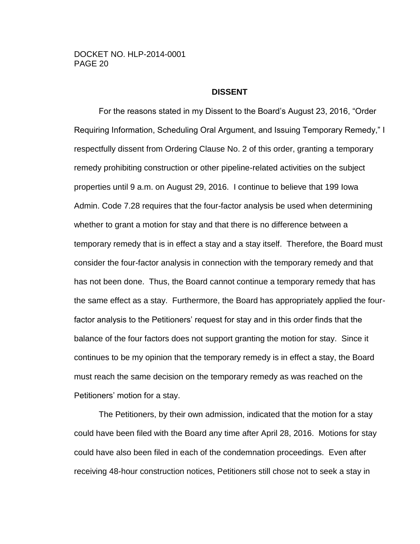### **DISSENT**

For the reasons stated in my Dissent to the Board's August 23, 2016, "Order Requiring Information, Scheduling Oral Argument, and Issuing Temporary Remedy," I respectfully dissent from Ordering Clause No. 2 of this order, granting a temporary remedy prohibiting construction or other pipeline-related activities on the subject properties until 9 a.m. on August 29, 2016. I continue to believe that 199 Iowa Admin. Code 7.28 requires that the four-factor analysis be used when determining whether to grant a motion for stay and that there is no difference between a temporary remedy that is in effect a stay and a stay itself. Therefore, the Board must consider the four-factor analysis in connection with the temporary remedy and that has not been done. Thus, the Board cannot continue a temporary remedy that has the same effect as a stay. Furthermore, the Board has appropriately applied the fourfactor analysis to the Petitioners' request for stay and in this order finds that the balance of the four factors does not support granting the motion for stay. Since it continues to be my opinion that the temporary remedy is in effect a stay, the Board must reach the same decision on the temporary remedy as was reached on the Petitioners' motion for a stay.

The Petitioners, by their own admission, indicated that the motion for a stay could have been filed with the Board any time after April 28, 2016. Motions for stay could have also been filed in each of the condemnation proceedings. Even after receiving 48-hour construction notices, Petitioners still chose not to seek a stay in